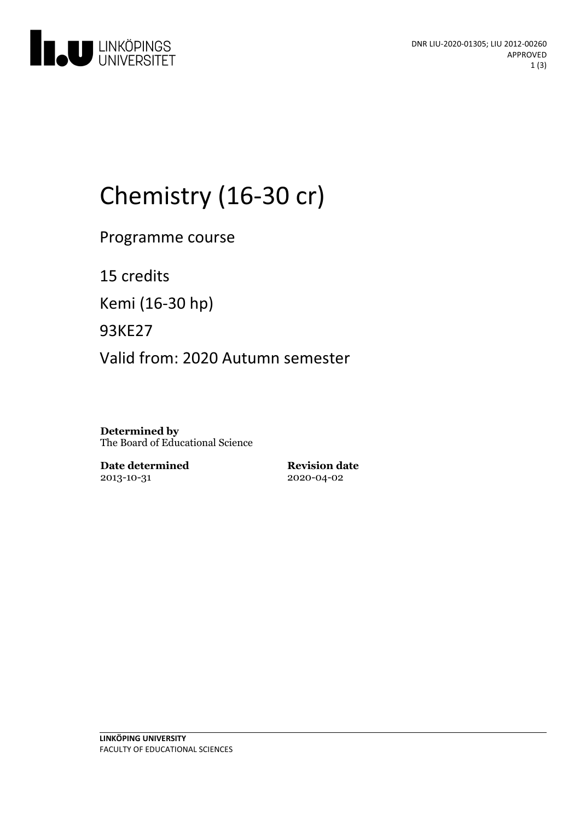

# Chemistry (16-30 cr)

Programme course

15 credits

Kemi (16-30 hp)

93KE27

Valid from: 2020 Autumn semester

**Determined by** The Board of Educational Science

**Date determined** 2013-10-31

**Revision date** 2020-04-02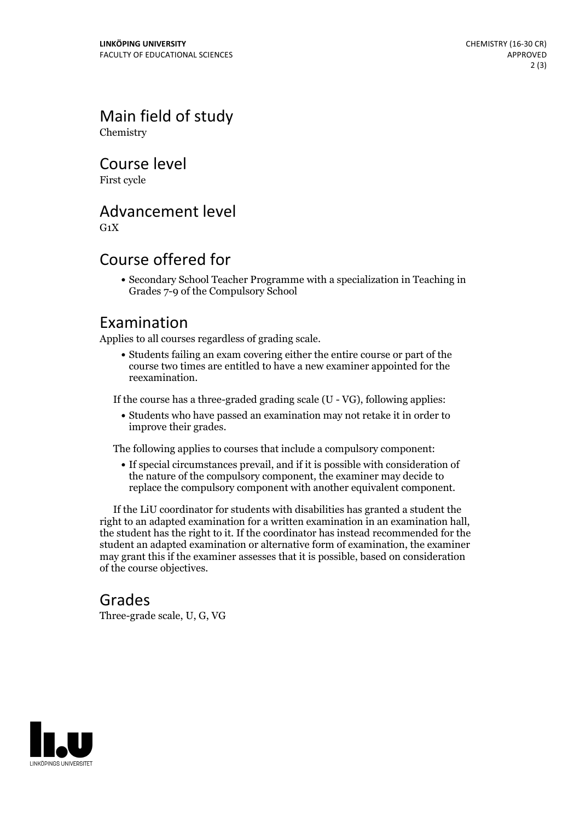Main field of study Chemistry

Course level

First cycle

## Advancement level

 $G_1X$ 

## Course offered for

Secondary School Teacher Programme with a specialization in Teaching in Grades 7-9 of the Compulsory School

#### Examination

Applies to all courses regardless of grading scale.

Students failing an exam covering either the entire course or part of the course two times are entitled to have a new examiner appointed for the reexamination.

If the course has a three-graded grading scale (U - VG), following applies:

Students who have passed an examination may not retake it in order to improve their grades.

The following applies to courses that include a compulsory component:

If special circumstances prevail, and if it is possible with consideration of the nature of the compulsory component, the examiner may decide to replace the compulsory component with another equivalent component.

If the LiU coordinator for students with disabilities has granted a student the right to an adapted examination for <sup>a</sup> written examination in an examination hall, the student has the right to it. If the coordinator has instead recommended for the student an adapted examination or alternative form of examination, the examiner may grant this if the examiner assesses that it is possible, based on consideration of the course objectives.

#### Grades

Three-grade scale, U, G, VG